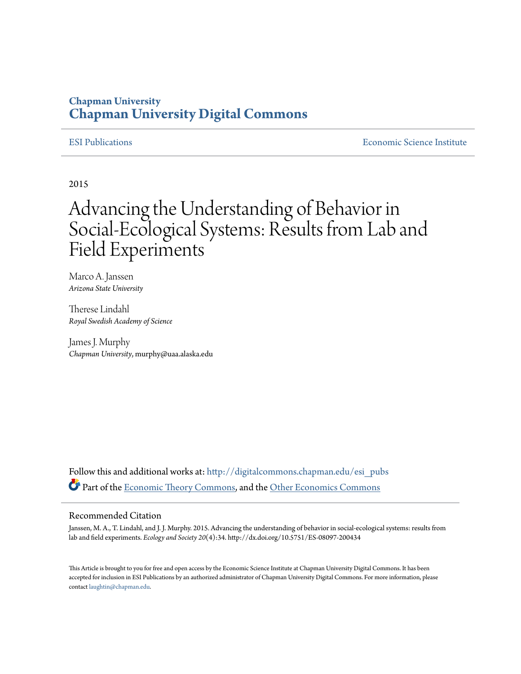## **Chapman University [Chapman University Digital Commons](http://digitalcommons.chapman.edu?utm_source=digitalcommons.chapman.edu%2Fesi_pubs%2F113&utm_medium=PDF&utm_campaign=PDFCoverPages)**

[ESI Publications](http://digitalcommons.chapman.edu/esi_pubs?utm_source=digitalcommons.chapman.edu%2Fesi_pubs%2F113&utm_medium=PDF&utm_campaign=PDFCoverPages) [Economic Science Institute](http://digitalcommons.chapman.edu/esi?utm_source=digitalcommons.chapman.edu%2Fesi_pubs%2F113&utm_medium=PDF&utm_campaign=PDFCoverPages)

2015

# Advancing the Understanding of Behavior in Social-Ecological Systems: Results from Lab and Field Experiments

Marco A. Janssen *Arizona State University*

Therese Lindahl *Royal Swedish Academy of Science*

James J. Murphy *Chapman University*, murphy@uaa.alaska.edu

Follow this and additional works at: [http://digitalcommons.chapman.edu/esi\\_pubs](http://digitalcommons.chapman.edu/esi_pubs?utm_source=digitalcommons.chapman.edu%2Fesi_pubs%2F113&utm_medium=PDF&utm_campaign=PDFCoverPages) Part of the [Economic Theory Commons,](http://network.bepress.com/hgg/discipline/344?utm_source=digitalcommons.chapman.edu%2Fesi_pubs%2F113&utm_medium=PDF&utm_campaign=PDFCoverPages) and the [Other Economics Commons](http://network.bepress.com/hgg/discipline/353?utm_source=digitalcommons.chapman.edu%2Fesi_pubs%2F113&utm_medium=PDF&utm_campaign=PDFCoverPages)

#### Recommended Citation

Janssen, M. A., T. Lindahl, and J. J. Murphy. 2015. Advancing the understanding of behavior in social-ecological systems: results from lab and field experiments. *Ecology and Society 20*(4):34. http://dx.doi.org/10.5751/ES-08097-200434

This Article is brought to you for free and open access by the Economic Science Institute at Chapman University Digital Commons. It has been accepted for inclusion in ESI Publications by an authorized administrator of Chapman University Digital Commons. For more information, please contact [laughtin@chapman.edu](mailto:laughtin@chapman.edu).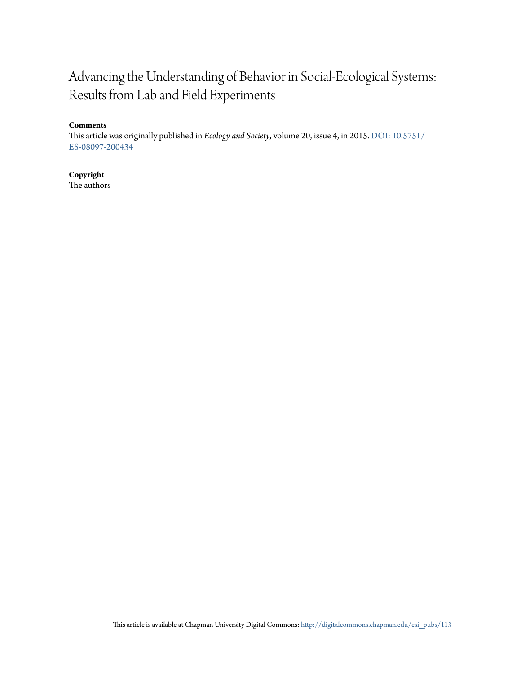# Advancing the Understanding of Behavior in Social-Ecological Systems: Results from Lab and Field Experiments

#### **Comments**

This article was originally published in *Ecology and Society*, volume 20, issue 4, in 2015. [DOI: 10.5751/](http://dx.doi.org/10.5751/ES-08097-200434) [ES-08097-200434](http://dx.doi.org/10.5751/ES-08097-200434)

### **Copyright**

The authors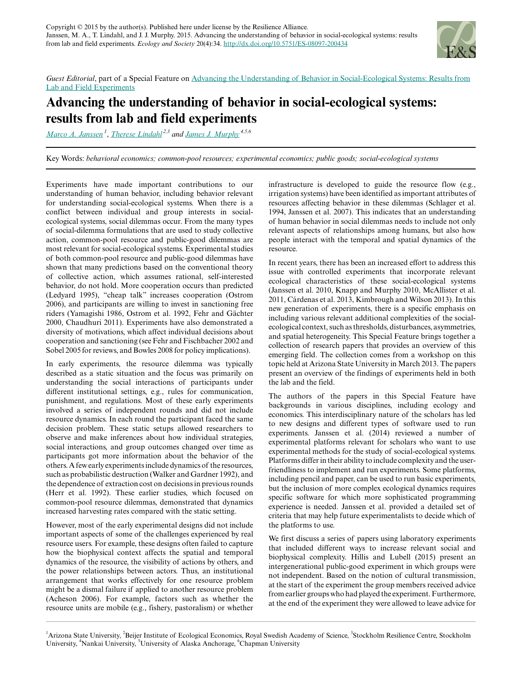

*Guest Editorial*, part of a Special Feature on [Advancing the Understanding of Behavior in Social-Ecological Systems: Results from](http://www.ecologyandsociety.org/viewissue.php?sf=102) [Lab and Field Experiments](http://www.ecologyandsociety.org/viewissue.php?sf=102)

# **Advancing the understanding of behavior in social-ecological systems: results from lab and field experiments**

*[Marco A. Janssen](mailto:Marco.Janssen@asu.edu)<sup>1</sup>* , *[Therese Lindahl](mailto:therese.lindahl@beijer.kva.se) 2,3 and [James J. Murphy](mailto:murphy@uaa.alaska.edu) 4,5,6*

Key Words: *behavioral economics; common-pool resources; experimental economics; public goods; social-ecological systems*

Experiments have made important contributions to our understanding of human behavior, including behavior relevant for understanding social-ecological systems. When there is a conflict between individual and group interests in socialecological systems, social dilemmas occur. From the many types of social-dilemma formulations that are used to study collective action, common-pool resource and public-good dilemmas are most relevant for social-ecological systems. Experimental studies of both common-pool resource and public-good dilemmas have shown that many predictions based on the conventional theory of collective action, which assumes rational, self-interested behavior, do not hold. More cooperation occurs than predicted (Ledyard 1995), "cheap talk" increases cooperation (Ostrom 2006), and participants are willing to invest in sanctioning free riders (Yamagishi 1986, Ostrom et al. 1992, Fehr and Gächter 2000, Chaudhuri 2011). Experiments have also demonstrated a diversity of motivations, which affect individual decisions about cooperation and sanctioning (see Fehr and Fischbacher 2002 and Sobel 2005 for reviews, and Bowles 2008 for policy implications).

In early experiments, the resource dilemma was typically described as a static situation and the focus was primarily on understanding the social interactions of participants under different institutional settings, e.g., rules for communication, punishment, and regulations. Most of these early experiments involved a series of independent rounds and did not include resource dynamics. In each round the participant faced the same decision problem. These static setups allowed researchers to observe and make inferences about how individual strategies, social interactions, and group outcomes changed over time as participants got more information about the behavior of the others. A few early experiments include dynamics of the resources, such as probabilistic destruction (Walker and Gardner 1992), and the dependence of extraction cost on decisions in previous rounds (Herr et al. 1992). These earlier studies, which focused on common-pool resource dilemmas, demonstrated that dynamics increased harvesting rates compared with the static setting.

However, most of the early experimental designs did not include important aspects of some of the challenges experienced by real resource users. For example, these designs often failed to capture how the biophysical context affects the spatial and temporal dynamics of the resource, the visibility of actions by others, and the power relationships between actors. Thus, an institutional arrangement that works effectively for one resource problem might be a dismal failure if applied to another resource problem (Acheson 2006). For example, factors such as whether the resource units are mobile (e.g., fishery, pastoralism) or whether infrastructure is developed to guide the resource flow (e.g., irrigation systems) have been identified as important attributes of resources affecting behavior in these dilemmas (Schlager et al. 1994, Janssen et al. 2007). This indicates that an understanding of human behavior in social dilemmas needs to include not only relevant aspects of relationships among humans, but also how people interact with the temporal and spatial dynamics of the resource.

In recent years, there has been an increased effort to address this issue with controlled experiments that incorporate relevant ecological characteristics of these social-ecological systems (Janssen et al. 2010, Knapp and Murphy 2010, McAllister et al. 2011, Cárdenas et al. 2013, Kimbrough and Wilson 2013). In this new generation of experiments, there is a specific emphasis on including various relevant additional complexities of the socialecological context, such as thresholds, disturbances, asymmetries, and spatial heterogeneity. This Special Feature brings together a collection of research papers that provides an overview of this emerging field. The collection comes from a workshop on this topic held at Arizona State University in March 2013. The papers present an overview of the findings of experiments held in both the lab and the field.

The authors of the papers in this Special Feature have backgrounds in various disciplines, including ecology and economics. This interdisciplinary nature of the scholars has led to new designs and different types of software used to run experiments. Janssen et al. (2014) reviewed a number of experimental platforms relevant for scholars who want to use experimental methods for the study of social-ecological systems. Platforms differ in their ability to include complexity and the userfriendliness to implement and run experiments. Some platforms, including pencil and paper, can be used to run basic experiments, but the inclusion of more complex ecological dynamics requires specific software for which more sophisticated programming experience is needed. Janssen et al. provided a detailed set of criteria that may help future experimentalists to decide which of the platforms to use.

We first discuss a series of papers using laboratory experiments that included different ways to increase relevant social and biophysical complexity. Hillis and Lubell (2015) present an intergenerational public-good experiment in which groups were not independent. Based on the notion of cultural transmission, at the start of the experiment the group members received advice from earlier groups who had played the experiment. Furthermore, at the end of the experiment they were allowed to leave advice for

<sup>&</sup>lt;sup>1</sup>Arizona State University, <sup>2</sup>Beijer Institute of Ecological Economics, Royal Swedish Academy of Science, <sup>3</sup>Stockholm Resilience Centre, Stockholm University, <sup>4</sup>Nankai University, <sup>5</sup>University of Alaska Anchorage, <sup>6</sup>Chapman University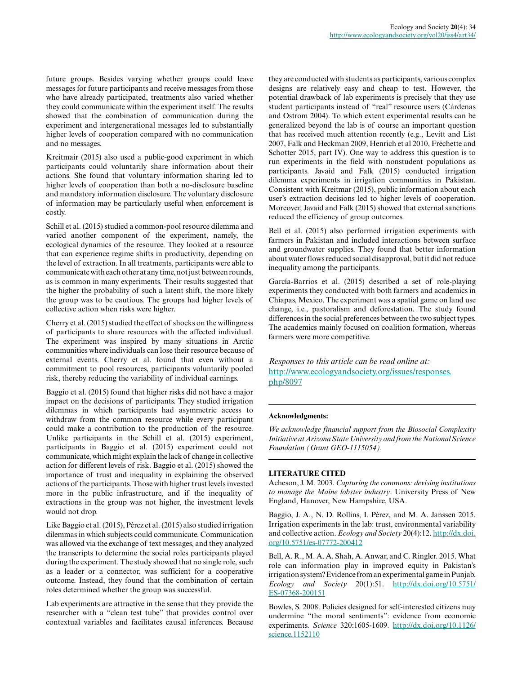future groups. Besides varying whether groups could leave messages for future participants and receive messages from those who have already participated, treatments also varied whether they could communicate within the experiment itself. The results showed that the combination of communication during the experiment and intergenerational messages led to substantially higher levels of cooperation compared with no communication and no messages.

Kreitmair (2015) also used a public-good experiment in which participants could voluntarily share information about their actions. She found that voluntary information sharing led to higher levels of cooperation than both a no-disclosure baseline and mandatory information disclosure. The voluntary disclosure of information may be particularly useful when enforcement is costly.

Schill et al. (2015) studied a common-pool resource dilemma and varied another component of the experiment, namely, the ecological dynamics of the resource. They looked at a resource that can experience regime shifts in productivity, depending on the level of extraction. In all treatments, participants were able to communicate with each other at any time, not just between rounds, as is common in many experiments. Their results suggested that the higher the probability of such a latent shift, the more likely the group was to be cautious. The groups had higher levels of collective action when risks were higher.

Cherry et al. (2015) studied the effect of shocks on the willingness of participants to share resources with the affected individual. The experiment was inspired by many situations in Arctic communities where individuals can lose their resource because of external events. Cherry et al. found that even without a commitment to pool resources, participants voluntarily pooled risk, thereby reducing the variability of individual earnings.

Baggio et al. (2015) found that higher risks did not have a major impact on the decisions of participants. They studied irrigation dilemmas in which participants had asymmetric access to withdraw from the common resource while every participant could make a contribution to the production of the resource. Unlike participants in the Schill et al. (2015) experiment, participants in Baggio et al. (2015) experiment could not communicate, which might explain the lack of change in collective action for different levels of risk. Baggio et al. (2015) showed the importance of trust and inequality in explaining the observed actions of the participants. Those with higher trust levels invested more in the public infrastructure, and if the inequality of extractions in the group was not higher, the investment levels would not drop.

Like Baggio et al. (2015), Pérez et al. (2015) also studied irrigation dilemmas in which subjects could communicate. Communication was allowed via the exchange of text messages, and they analyzed the transcripts to determine the social roles participants played during the experiment. The study showed that no single role, such as a leader or a connector, was sufficient for a cooperative outcome. Instead, they found that the combination of certain roles determined whether the group was successful.

Lab experiments are attractive in the sense that they provide the researcher with a "clean test tube" that provides control over contextual variables and facilitates causal inferences. Because

they are conducted with students as participants, various complex designs are relatively easy and cheap to test. However, the potential drawback of lab experiments is precisely that they use student participants instead of "real" resource users (Cárdenas and Ostrom 2004). To which extent experimental results can be generalized beyond the lab is of course an important question that has received much attention recently (e.g., Levitt and List 2007, Falk and Heckman 2009, Henrich et al 2010, Fréchette and Schotter 2015, part IV). One way to address this question is to run experiments in the field with nonstudent populations as participants. Javaid and Falk (2015) conducted irrigation dilemma experiments in irrigation communities in Pakistan. Consistent with Kreitmar (2015), public information about each user's extraction decisions led to higher levels of cooperation. Moreover, Javaid and Falk (2015) showed that external sanctions reduced the efficiency of group outcomes.

Bell et al. (2015) also performed irrigation experiments with farmers in Pakistan and included interactions between surface and groundwater supplies. They found that better information about water flows reduced social disapproval, but it did not reduce inequality among the participants.

García-Barrios et al. (2015) described a set of role-playing experiments they conducted with both farmers and academics in Chiapas, Mexico. The experiment was a spatial game on land use change, i.e., pastoralism and deforestation. The study found differences in the social preferences between the two subject types. The academics mainly focused on coalition formation, whereas farmers were more competitive.

*Responses to this article can be read online at:* [http://www.ecologyandsociety.org/issues/responses.](http://www.ecologyandsociety.org/issues/responses.php/8097) [php/8097](http://www.ecologyandsociety.org/issues/responses.php/8097)

#### **Acknowledgments:**

*We acknowledge financial support from the Biosocial Complexity Initiative at Arizona State University and from the National Science Foundation (Grant GEO-1115054).*

#### **LITERATURE CITED**

Acheson, J. M. 2003. *Capturing the commons: devising institutions to manage the Maine lobster industry*. University Press of New England, Hanover, New Hampshire, USA.

Baggio, J. A., N. D. Rollins, I. Pérez, and M. A. Janssen 2015. Irrigation experiments in the lab: trust, environmental variability and collective action. *Ecology and Society* 20(4):12. [http://dx.doi.](http://dx.doi.org/10.5751%2Fes-07772-200412) [org/10.5751/es-07772-200412](http://dx.doi.org/10.5751%2Fes-07772-200412)

Bell, A. R., M. A. A. Shah, A. Anwar, and C. Ringler. 2015. What role can information play in improved equity in Pakistan's irrigation system? Evidence from an experimental game in Punjab. *Ecology and Society* 20(1):51. [http://dx.doi.org/10.5751/](http://dx.doi.org/10.5751%2FES-07368-200151) [ES-07368-200151](http://dx.doi.org/10.5751%2FES-07368-200151)

Bowles, S. 2008. Policies designed for self-interested citizens may undermine "the moral sentiments": evidence from economic experiments. *Science* 320:1605-1609. [http://dx.doi.org/10.1126/](http://dx.doi.org/10.1126%2Fscience.1152110) [science.1152110](http://dx.doi.org/10.1126%2Fscience.1152110)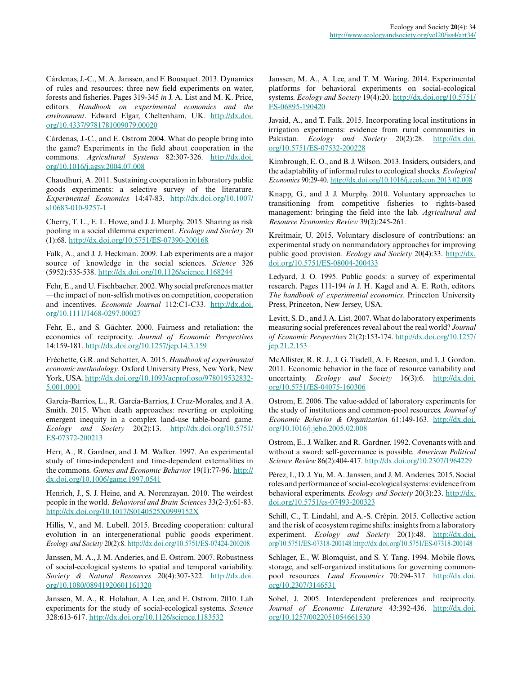Cárdenas, J.-C., M. A. Janssen, and F. Bousquet. 2013. Dynamics of rules and resources: three new field experiments on water, forests and fisheries. Pages 319-345 *in* J. A. List and M. K. Price, editors. *Handbook on experimental economics and the environment*. Edward Elgar, Cheltenham, UK. [http://dx.doi.](http://dx.doi.org/10.4337%2F9781781009079.00020) [org/10.4337/9781781009079.00020](http://dx.doi.org/10.4337%2F9781781009079.00020) 

Cárdenas, J.-C., and E. Ostrom 2004. What do people bring into the game? Experiments in the field about cooperation in the commons. *Agricultural Systems* 82:307-326. [http://dx.doi.](http://dx.doi.org/10.1016%2Fj.agsy.2004.07.008) [org/10.1016/j.agsy.2004.07.008](http://dx.doi.org/10.1016%2Fj.agsy.2004.07.008) 

Chaudhuri, A. 2011. Sustaining cooperation in laboratory public goods experiments: a selective survey of the literature. *Experimental Economics* 14:47-83. [http://dx.doi.org/10.1007/](http://dx.doi.org/10.1007%2Fs10683-010-9257-1) [s10683-010-9257-1](http://dx.doi.org/10.1007%2Fs10683-010-9257-1) 

Cherry, T. L., E. L. Howe, and J. J. Murphy. 2015. Sharing as risk pooling in a social dilemma experiment. *Ecology and Society* 20 (1):68. [http://dx.doi.org/10.5751/ES-07390-200168](http://dx.doi.org/10.5751%2FES-07390-200168)

Falk, A., and J. J. Heckman. 2009. Lab experiments are a major source of knowledge in the social sciences. *Science* 326 (5952):535-538. [http://dx.doi.org/10.1126/science.1168244](http://dx.doi.org/10.1126%2Fscience.1168244) 

Fehr, E., and U. Fischbacher. 2002. Why social preferences matter —the impact of non-selfish motives on competition, cooperation and incentives. *Economic Journal* 112:C1-C33. [http://dx.doi.](http://dx.doi.org/10.1111%2F1468-0297.00027) [org/10.1111/1468-0297.00027](http://dx.doi.org/10.1111%2F1468-0297.00027)

Fehr, E., and S. Gächter. 2000. Fairness and retaliation: the economics of reciprocity. *Journal of Economic Perspectives* 14:159-181. [http://dx.doi.org/10.1257/jep.14.3.159](http://dx.doi.org/10.1257%2Fjep.14.3.159) 

Fréchette, G.R. and Schotter, A. 2015. *Handbook of experimental economic methodology*. Oxford University Press, New York, New York, USA. [http://dx.doi.org/10.1093/acprof:oso/978019532832](http://dx.doi.org/10.1093%2Facprof%3Aoso%2F9780195328325.001.0001) [5.001.0001](http://dx.doi.org/10.1093%2Facprof%3Aoso%2F9780195328325.001.0001) 

García-Barrios, L., R. García-Barrios, J. Cruz-Morales, and J. A. Smith. 2015. When death approaches: reverting or exploiting emergent inequity in a complex land-use table-board game. *Ecology and Society* 20(2):13. [http://dx.doi.org/10.5751/](http://dx.doi.org/10.5751%2FES-07372-200213) [ES-07372-200213](http://dx.doi.org/10.5751%2FES-07372-200213)

Herr, A., R. Gardner, and J. M. Walker. 1997. An experimental study of time-independent and time-dependent externalities in the commons. *Games and Economic Behavior* 19(1):77-96. [http://](http://dx.doi.org/10.1006%2Fgame.1997.0541) [dx.doi.org/10.1006/game.1997.0541](http://dx.doi.org/10.1006%2Fgame.1997.0541) 

Henrich, J., S. J. Heine, and A. Norenzayan. 2010. The weirdest people in the world. *Behavioral and Brain Sciences* 33(2-3):61-83. [http://dx.doi.org/10.1017/S0140525X0999152X](http://dx.doi.org/10.1017%2FS0140525X0999152X)

Hillis, V., and M. Lubell. 2015. Breeding cooperation: cultural evolution in an intergenerational public goods experiment. *Ecology and Society* 20(2):8. [http://dx.doi.org/10.5751/ES-07424-200208](http://dx.doi.org/10.5751%2FES-07424-200208)

Janssen, M. A., J. M. Anderies, and E. Ostrom. 2007. Robustness of social-ecological systems to spatial and temporal variability. *Society & Natural Resources* 20(4):307-322. [http://dx.doi.](http://dx.doi.org/10.1080%2F08941920601161320) [org/10.1080/08941920601161320](http://dx.doi.org/10.1080%2F08941920601161320) 

Janssen, M. A., R. Holahan, A. Lee, and E. Ostrom. 2010. Lab experiments for the study of social-ecological systems. *Science* 328:613-617. [http://dx.doi.org/10.1126/science.1183532](http://dx.doi.org/10.1126%2Fscience.1183532)

Janssen, M. A., A. Lee, and T. M. Waring. 2014. Experimental platforms for behavioral experiments on social-ecological systems. *Ecology and Society* 19(4):20. [http://dx.doi.org/10.5751/](http://dx.doi.org/10.5751%2FES-06895-190420) [ES-06895-190420](http://dx.doi.org/10.5751%2FES-06895-190420)

Javaid, A., and T. Falk. 2015. Incorporating local institutions in irrigation experiments: evidence from rural communities in Pakistan. *Ecology and Society* 20(2):28. [http://dx.doi.](http://dx.doi.org/10.5751%2FES-07532-200228) [org/10.5751/ES-07532-200228](http://dx.doi.org/10.5751%2FES-07532-200228) 

Kimbrough, E. O., and B. J. Wilson. 2013. Insiders, outsiders, and the adaptability of informal rules to ecological shocks. *Ecological Economics* 90:29-40. [http://dx.doi.org/10.1016/j.ecolecon.2013.02.008](http://dx.doi.org/10.1016%2Fj.ecolecon.2013.02.008) 

Knapp, G., and J. J. Murphy. 2010. Voluntary approaches to transitioning from competitive fisheries to rights-based management: bringing the field into the lab. *Agricultural and Resource Economics Review* 39(2):245-261.

Kreitmair, U. 2015. Voluntary disclosure of contributions: an experimental study on nonmandatory approaches for improving public good provision. *Ecology and Society* 20(4):33. [http://dx.](http://dx.doi.org/10.5751/ES-08004-200433) [doi.org/10.5751/ES-08004-200433](http://dx.doi.org/10.5751/ES-08004-200433)

Ledyard, J. O. 1995. Public goods: a survey of experimental research. Pages 111-194 *in* J. H. Kagel and A. E. Roth, editors. *The handbook of experimental economics*. Princeton University Press, Princeton, New Jersey, USA.

Levitt, S. D., and J. A. List. 2007. What do laboratory experiments measuring social preferences reveal about the real world? *Journal of Economic Perspectives* 21(2):153-174. [http://dx.doi.org/10.1257/](http://dx.doi.org/10.1257%2Fjep.21.2.153) [jep.21.2.153](http://dx.doi.org/10.1257%2Fjep.21.2.153)

McAllister, R. R. J., J. G. Tisdell, A. F. Reeson, and I. J. Gordon. 2011. Economic behavior in the face of resource variability and uncertainty. *Ecology and Society* 16(3):6. [http://dx.doi.](http://dx.doi.org/10.5751%2FES-04075-160306) [org/10.5751/ES-04075-160306](http://dx.doi.org/10.5751%2FES-04075-160306) 

Ostrom, E. 2006. The value-added of laboratory experiments for the study of institutions and common-pool resources. *Journal of Economic Behavior & Organization* 61:149-163. [http://dx.doi.](http://dx.doi.org/10.1016%2Fj.jebo.2005.02.008) [org/10.1016/j.jebo.2005.02.008](http://dx.doi.org/10.1016%2Fj.jebo.2005.02.008) 

Ostrom, E., J. Walker, and R. Gardner. 1992. Covenants with and without a sword: self-governance is possible. *American Political Science Review* 86(2):404-417. [http://dx.doi.org/10.2307/1964229](http://dx.doi.org/10.2307%2F1964229) 

Pérez, I., D. J. Yu, M. A. Janssen, and J. M. Anderies. 2015. Social roles and performance of social-ecological systems: evidence from behavioral experiments. *Ecology and Society* 20(3):23. [http://dx.](http://dx.doi.org/10.5751%2Fes-07493-200323) [doi.org/10.5751/es-07493-200323](http://dx.doi.org/10.5751%2Fes-07493-200323) 

Schill, C., T. Lindahl, and A.-S. Crépin. 2015. Collective action and the risk of ecosystem regime shifts: insights from a laboratory experiment. *Ecology and Society* 20(1):48. [http://dx.doi.](http://dx.doi.org/10.5751/ES-07318-20014) [org/10.5751/ES-07318-200148](http://dx.doi.org/10.5751/ES-07318-20014) [http://dx.doi.org/10.5751/ES-07318-200148](http://dx.doi.org/10.5751%2FES-07318-200148)

Schlager, E., W. Blomquist, and S. Y. Tang. 1994. Mobile flows, storage, and self-organized institutions for governing commonpool resources. *Land Economics* 70:294-317. [http://dx.doi.](http://dx.doi.org/10.2307%2F3146531) [org/10.2307/3146531](http://dx.doi.org/10.2307%2F3146531) 

Sobel, J. 2005. Interdependent preferences and reciprocity. *Journal of Economic Literature* 43:392-436. [http://dx.doi.](http://dx.doi.org/10.1257%2F0022051054661530) [org/10.1257/0022051054661530](http://dx.doi.org/10.1257%2F0022051054661530)